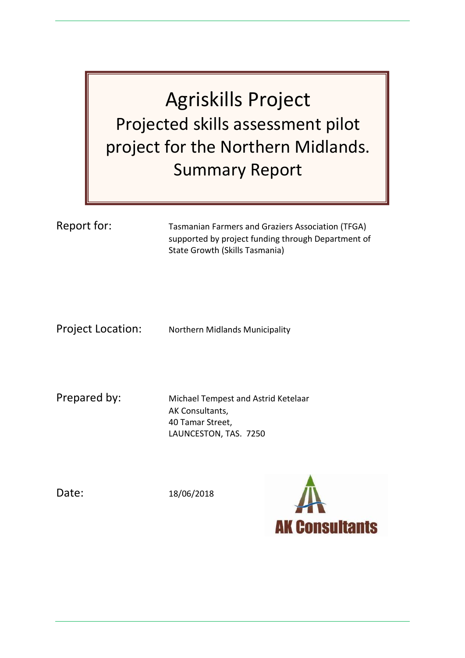Agriskills Project Projected skills assessment pilot project for the Northern Midlands. Summary Report

Report for: Tasmanian Farmers and Graziers Association (TFGA) supported by project funding through Department of State Growth (Skills Tasmania)

Project Location: Northern Midlands Municipality

Prepared by: Michael Tempest and Astrid Ketelaar AK Consultants, 40 Tamar Street, LAUNCESTON, TAS. 7250

Date: 18/06/2018

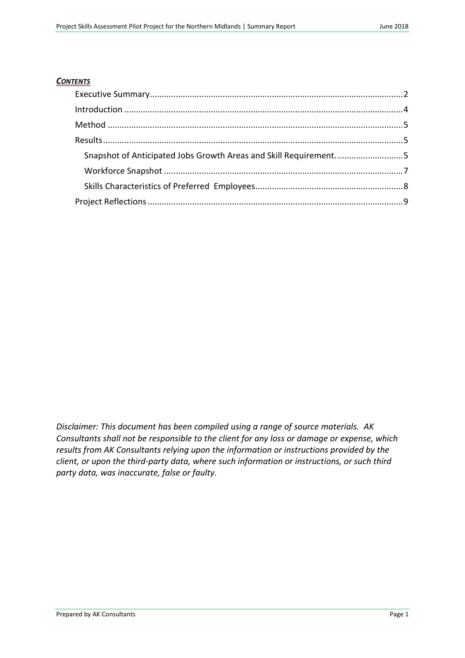#### *CONTENTS*

| Snapshot of Anticipated Jobs Growth Areas and Skill Requirement5 |  |
|------------------------------------------------------------------|--|
|                                                                  |  |
|                                                                  |  |
|                                                                  |  |

*Disclaimer: This document has been compiled using a range of source materials. AK Consultants shall not be responsible to the client for any loss or damage or expense, which results from AK Consultants relying upon the information or instructions provided by the client, or upon the third-party data, where such information or instructions, or such third party data, was inaccurate, false or faulty.*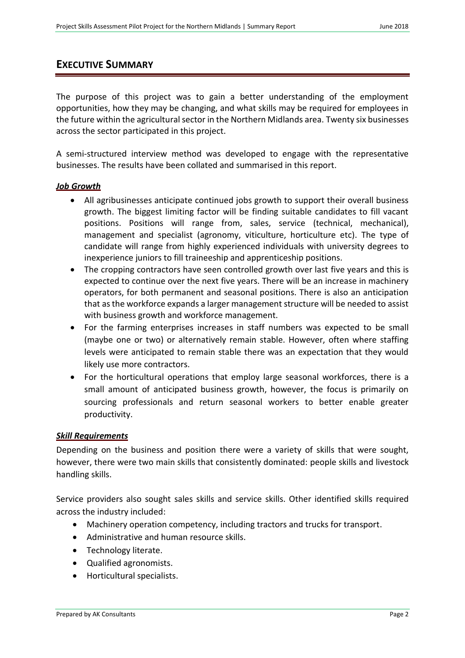# <span id="page-2-0"></span>**EXECUTIVE SUMMARY**

The purpose of this project was to gain a better understanding of the employment opportunities, how they may be changing, and what skills may be required for employees in the future within the agricultural sector in the Northern Midlands area. Twenty six businesses across the sector participated in this project.

A semi-structured interview method was developed to engage with the representative businesses. The results have been collated and summarised in this report.

### *Job Growth*

- All agribusinesses anticipate continued jobs growth to support their overall business growth. The biggest limiting factor will be finding suitable candidates to fill vacant positions. Positions will range from, sales, service (technical, mechanical), management and specialist (agronomy, viticulture, horticulture etc). The type of candidate will range from highly experienced individuals with university degrees to inexperience juniors to fill traineeship and apprenticeship positions.
- The cropping contractors have seen controlled growth over last five years and this is expected to continue over the next five years. There will be an increase in machinery operators, for both permanent and seasonal positions. There is also an anticipation that as the workforce expands a larger management structure will be needed to assist with business growth and workforce management.
- For the farming enterprises increases in staff numbers was expected to be small (maybe one or two) or alternatively remain stable. However, often where staffing levels were anticipated to remain stable there was an expectation that they would likely use more contractors.
- For the horticultural operations that employ large seasonal workforces, there is a small amount of anticipated business growth, however, the focus is primarily on sourcing professionals and return seasonal workers to better enable greater productivity.

### *Skill Requirements*

Depending on the business and position there were a variety of skills that were sought, however, there were two main skills that consistently dominated: people skills and livestock handling skills.

Service providers also sought sales skills and service skills. Other identified skills required across the industry included:

- Machinery operation competency, including tractors and trucks for transport.
- Administrative and human resource skills.
- Technology literate.
- Qualified agronomists.
- Horticultural specialists.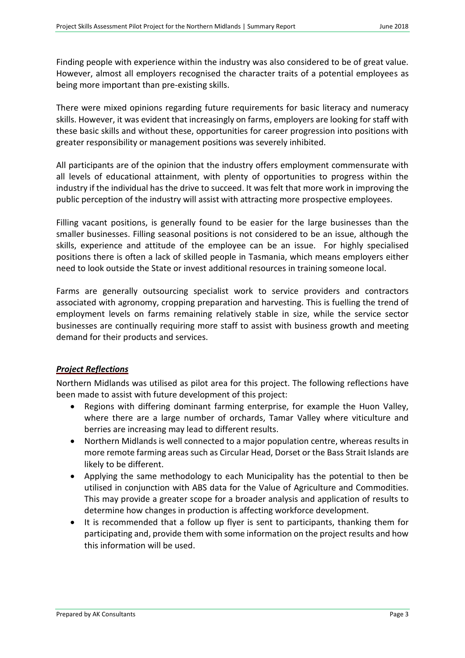Finding people with experience within the industry was also considered to be of great value. However, almost all employers recognised the character traits of a potential employees as being more important than pre-existing skills.

There were mixed opinions regarding future requirements for basic literacy and numeracy skills. However, it was evident that increasingly on farms, employers are looking for staff with these basic skills and without these, opportunities for career progression into positions with greater responsibility or management positions was severely inhibited.

All participants are of the opinion that the industry offers employment commensurate with all levels of educational attainment, with plenty of opportunities to progress within the industry if the individual has the drive to succeed. It was felt that more work in improving the public perception of the industry will assist with attracting more prospective employees.

Filling vacant positions, is generally found to be easier for the large businesses than the smaller businesses. Filling seasonal positions is not considered to be an issue, although the skills, experience and attitude of the employee can be an issue. For highly specialised positions there is often a lack of skilled people in Tasmania, which means employers either need to look outside the State or invest additional resources in training someone local.

Farms are generally outsourcing specialist work to service providers and contractors associated with agronomy, cropping preparation and harvesting. This is fuelling the trend of employment levels on farms remaining relatively stable in size, while the service sector businesses are continually requiring more staff to assist with business growth and meeting demand for their products and services.

## *Project Reflections*

Northern Midlands was utilised as pilot area for this project. The following reflections have been made to assist with future development of this project:

- Regions with differing dominant farming enterprise, for example the Huon Valley, where there are a large number of orchards, Tamar Valley where viticulture and berries are increasing may lead to different results.
- Northern Midlands is well connected to a major population centre, whereas results in more remote farming areas such as Circular Head, Dorset or the Bass Strait Islands are likely to be different.
- Applying the same methodology to each Municipality has the potential to then be utilised in conjunction with ABS data for the Value of Agriculture and Commodities. This may provide a greater scope for a broader analysis and application of results to determine how changes in production is affecting workforce development.
- It is recommended that a follow up flyer is sent to participants, thanking them for participating and, provide them with some information on the project results and how this information will be used.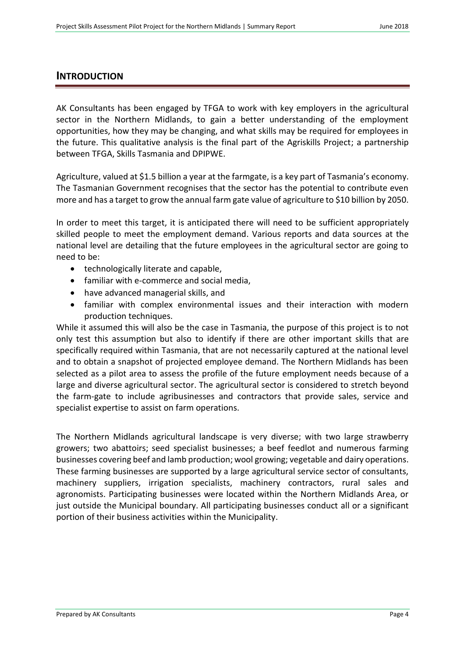### <span id="page-4-0"></span>**INTRODUCTION**

AK Consultants has been engaged by TFGA to work with key employers in the agricultural sector in the Northern Midlands, to gain a better understanding of the employment opportunities, how they may be changing, and what skills may be required for employees in the future. This qualitative analysis is the final part of the Agriskills Project; a partnership between TFGA, Skills Tasmania and DPIPWE.

Agriculture, valued at \$1.5 billion a year at the farmgate, is a key part of Tasmania's economy. The Tasmanian Government recognises that the sector has the potential to contribute even more and has a target to grow the annual farm gate value of agriculture to \$10 billion by 2050.

In order to meet this target, it is anticipated there will need to be sufficient appropriately skilled people to meet the employment demand. Various reports and data sources at the national level are detailing that the future employees in the agricultural sector are going to need to be:

- technologically literate and capable,
- familiar with e-commerce and social media,
- have advanced managerial skills, and
- familiar with complex environmental issues and their interaction with modern production techniques.

While it assumed this will also be the case in Tasmania, the purpose of this project is to not only test this assumption but also to identify if there are other important skills that are specifically required within Tasmania, that are not necessarily captured at the national level and to obtain a snapshot of projected employee demand. The Northern Midlands has been selected as a pilot area to assess the profile of the future employment needs because of a large and diverse agricultural sector. The agricultural sector is considered to stretch beyond the farm-gate to include agribusinesses and contractors that provide sales, service and specialist expertise to assist on farm operations.

The Northern Midlands agricultural landscape is very diverse; with two large strawberry growers; two abattoirs; seed specialist businesses; a beef feedlot and numerous farming businesses covering beef and lamb production; wool growing; vegetable and dairy operations. These farming businesses are supported by a large agricultural service sector of consultants, machinery suppliers, irrigation specialists, machinery contractors, rural sales and agronomists. Participating businesses were located within the Northern Midlands Area, or just outside the Municipal boundary. All participating businesses conduct all or a significant portion of their business activities within the Municipality.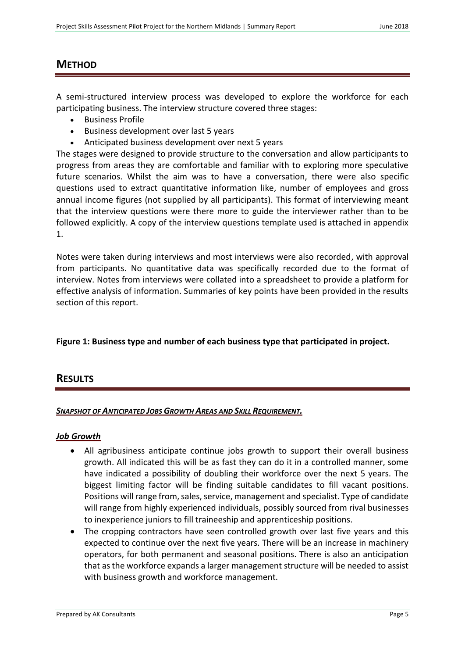# <span id="page-5-0"></span>**METHOD**

A semi-structured interview process was developed to explore the workforce for each participating business. The interview structure covered three stages:

- Business Profile
- Business development over last 5 years
- Anticipated business development over next 5 years

The stages were designed to provide structure to the conversation and allow participants to progress from areas they are comfortable and familiar with to exploring more speculative future scenarios. Whilst the aim was to have a conversation, there were also specific questions used to extract quantitative information like, number of employees and gross annual income figures (not supplied by all participants). This format of interviewing meant that the interview questions were there more to guide the interviewer rather than to be followed explicitly. A copy of the interview questions template used is attached in appendix 1.

Notes were taken during interviews and most interviews were also recorded, with approval from participants. No quantitative data was specifically recorded due to the format of interview. Notes from interviews were collated into a spreadsheet to provide a platform for effective analysis of information. Summaries of key points have been provided in the results section of this report.

## **Figure 1: Business type and number of each business type that participated in project.**

## <span id="page-5-1"></span>**RESULTS**

### <span id="page-5-2"></span>*SNAPSHOT OF ANTICIPATED JOBS GROWTH AREAS AND SKILL REQUIREMENT.*

### *Job Growth*

- All agribusiness anticipate continue jobs growth to support their overall business growth. All indicated this will be as fast they can do it in a controlled manner, some have indicated a possibility of doubling their workforce over the next 5 years. The biggest limiting factor will be finding suitable candidates to fill vacant positions. Positions will range from, sales, service, management and specialist. Type of candidate will range from highly experienced individuals, possibly sourced from rival businesses to inexperience juniors to fill traineeship and apprenticeship positions.
- The cropping contractors have seen controlled growth over last five years and this expected to continue over the next five years. There will be an increase in machinery operators, for both permanent and seasonal positions. There is also an anticipation that as the workforce expands a larger management structure will be needed to assist with business growth and workforce management.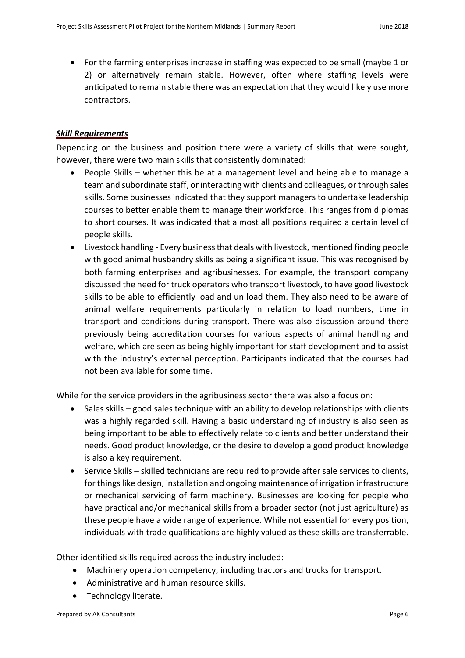For the farming enterprises increase in staffing was expected to be small (maybe 1 or 2) or alternatively remain stable. However, often where staffing levels were anticipated to remain stable there was an expectation that they would likely use more contractors.

### *Skill Requirements*

Depending on the business and position there were a variety of skills that were sought, however, there were two main skills that consistently dominated:

- People Skills whether this be at a management level and being able to manage a team and subordinate staff, or interacting with clients and colleagues, or through sales skills. Some businesses indicated that they support managers to undertake leadership courses to better enable them to manage their workforce. This ranges from diplomas to short courses. It was indicated that almost all positions required a certain level of people skills.
- Livestock handling Every business that deals with livestock, mentioned finding people with good animal husbandry skills as being a significant issue. This was recognised by both farming enterprises and agribusinesses. For example, the transport company discussed the need for truck operators who transport livestock, to have good livestock skills to be able to efficiently load and un load them. They also need to be aware of animal welfare requirements particularly in relation to load numbers, time in transport and conditions during transport. There was also discussion around there previously being accreditation courses for various aspects of animal handling and welfare, which are seen as being highly important for staff development and to assist with the industry's external perception. Participants indicated that the courses had not been available for some time.

While for the service providers in the agribusiness sector there was also a focus on:

- Sales skills good sales technique with an ability to develop relationships with clients was a highly regarded skill. Having a basic understanding of industry is also seen as being important to be able to effectively relate to clients and better understand their needs. Good product knowledge, or the desire to develop a good product knowledge is also a key requirement.
- Service Skills skilled technicians are required to provide after sale services to clients, for things like design, installation and ongoing maintenance of irrigation infrastructure or mechanical servicing of farm machinery. Businesses are looking for people who have practical and/or mechanical skills from a broader sector (not just agriculture) as these people have a wide range of experience. While not essential for every position, individuals with trade qualifications are highly valued as these skills are transferrable.

Other identified skills required across the industry included:

- Machinery operation competency, including tractors and trucks for transport.
- Administrative and human resource skills.
- Technology literate.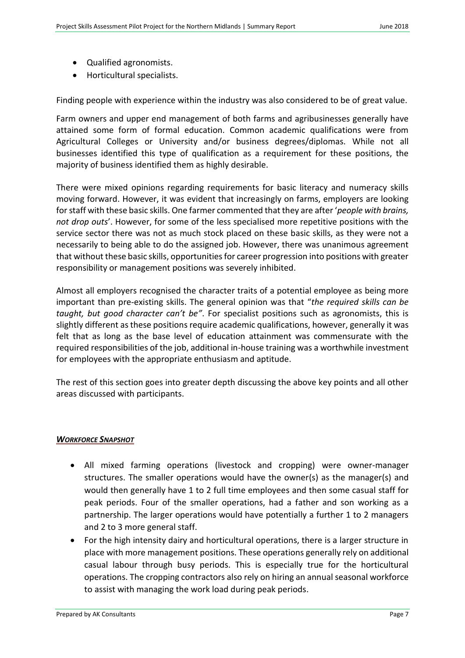- Qualified agronomists.
- Horticultural specialists.

Finding people with experience within the industry was also considered to be of great value.

Farm owners and upper end management of both farms and agribusinesses generally have attained some form of formal education. Common academic qualifications were from Agricultural Colleges or University and/or business degrees/diplomas. While not all businesses identified this type of qualification as a requirement for these positions, the majority of business identified them as highly desirable.

There were mixed opinions regarding requirements for basic literacy and numeracy skills moving forward. However, it was evident that increasingly on farms, employers are looking for staff with these basic skills. One farmer commented that they are after '*people with brains, not drop outs*'. However, for some of the less specialised more repetitive positions with the service sector there was not as much stock placed on these basic skills, as they were not a necessarily to being able to do the assigned job. However, there was unanimous agreement that without these basic skills, opportunities for career progression into positions with greater responsibility or management positions was severely inhibited.

Almost all employers recognised the character traits of a potential employee as being more important than pre-existing skills. The general opinion was that "*the required skills can be taught, but good character can't be"*. For specialist positions such as agronomists, this is slightly different as these positions require academic qualifications, however, generally it was felt that as long as the base level of education attainment was commensurate with the required responsibilities of the job, additional in-house training was a worthwhile investment for employees with the appropriate enthusiasm and aptitude.

The rest of this section goes into greater depth discussing the above key points and all other areas discussed with participants.

### <span id="page-7-0"></span>*WORKFORCE SNAPSHOT*

- All mixed farming operations (livestock and cropping) were owner-manager structures. The smaller operations would have the owner(s) as the manager(s) and would then generally have 1 to 2 full time employees and then some casual staff for peak periods. Four of the smaller operations, had a father and son working as a partnership. The larger operations would have potentially a further 1 to 2 managers and 2 to 3 more general staff.
- For the high intensity dairy and horticultural operations, there is a larger structure in place with more management positions. These operations generally rely on additional casual labour through busy periods. This is especially true for the horticultural operations. The cropping contractors also rely on hiring an annual seasonal workforce to assist with managing the work load during peak periods.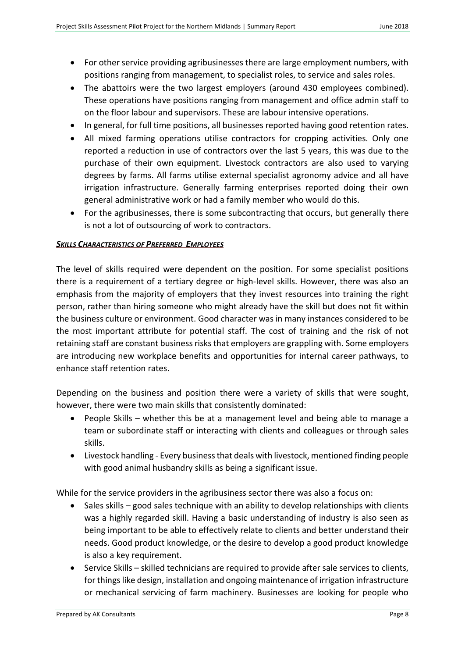- For other service providing agribusinesses there are large employment numbers, with positions ranging from management, to specialist roles, to service and sales roles.
- The abattoirs were the two largest employers (around 430 employees combined). These operations have positions ranging from management and office admin staff to on the floor labour and supervisors. These are labour intensive operations.
- In general, for full time positions, all businesses reported having good retention rates.
- All mixed farming operations utilise contractors for cropping activities. Only one reported a reduction in use of contractors over the last 5 years, this was due to the purchase of their own equipment. Livestock contractors are also used to varying degrees by farms. All farms utilise external specialist agronomy advice and all have irrigation infrastructure. Generally farming enterprises reported doing their own general administrative work or had a family member who would do this.
- For the agribusinesses, there is some subcontracting that occurs, but generally there is not a lot of outsourcing of work to contractors.

### <span id="page-8-0"></span>*SKILLS CHARACTERISTICS OF PREFERRED EMPLOYEES*

The level of skills required were dependent on the position. For some specialist positions there is a requirement of a tertiary degree or high-level skills. However, there was also an emphasis from the majority of employers that they invest resources into training the right person, rather than hiring someone who might already have the skill but does not fit within the business culture or environment. Good character was in many instances considered to be the most important attribute for potential staff. The cost of training and the risk of not retaining staff are constant business risks that employers are grappling with. Some employers are introducing new workplace benefits and opportunities for internal career pathways, to enhance staff retention rates.

Depending on the business and position there were a variety of skills that were sought, however, there were two main skills that consistently dominated:

- People Skills whether this be at a management level and being able to manage a team or subordinate staff or interacting with clients and colleagues or through sales skills.
- Livestock handling Every business that deals with livestock, mentioned finding people with good animal husbandry skills as being a significant issue.

While for the service providers in the agribusiness sector there was also a focus on:

- Sales skills good sales technique with an ability to develop relationships with clients was a highly regarded skill. Having a basic understanding of industry is also seen as being important to be able to effectively relate to clients and better understand their needs. Good product knowledge, or the desire to develop a good product knowledge is also a key requirement.
- Service Skills skilled technicians are required to provide after sale services to clients, for things like design, installation and ongoing maintenance of irrigation infrastructure or mechanical servicing of farm machinery. Businesses are looking for people who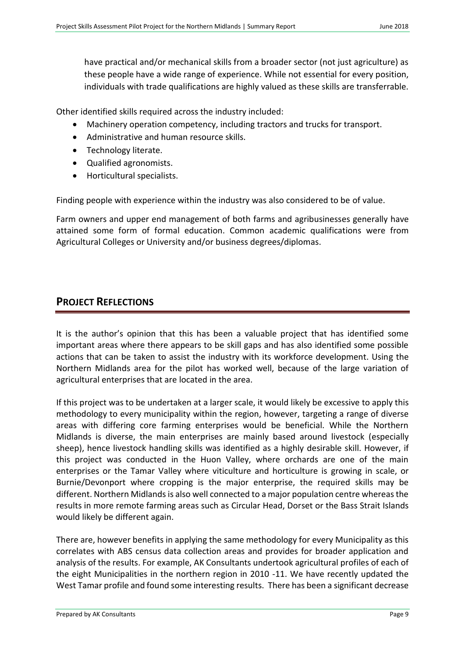have practical and/or mechanical skills from a broader sector (not just agriculture) as these people have a wide range of experience. While not essential for every position, individuals with trade qualifications are highly valued as these skills are transferrable.

Other identified skills required across the industry included:

- Machinery operation competency, including tractors and trucks for transport.
- Administrative and human resource skills.
- **•** Technology literate.
- Qualified agronomists.
- Horticultural specialists.

Finding people with experience within the industry was also considered to be of value.

Farm owners and upper end management of both farms and agribusinesses generally have attained some form of formal education. Common academic qualifications were from Agricultural Colleges or University and/or business degrees/diplomas.

# <span id="page-9-0"></span>**PROJECT REFLECTIONS**

It is the author's opinion that this has been a valuable project that has identified some important areas where there appears to be skill gaps and has also identified some possible actions that can be taken to assist the industry with its workforce development. Using the Northern Midlands area for the pilot has worked well, because of the large variation of agricultural enterprises that are located in the area.

If this project was to be undertaken at a larger scale, it would likely be excessive to apply this methodology to every municipality within the region, however, targeting a range of diverse areas with differing core farming enterprises would be beneficial. While the Northern Midlands is diverse, the main enterprises are mainly based around livestock (especially sheep), hence livestock handling skills was identified as a highly desirable skill. However, if this project was conducted in the Huon Valley, where orchards are one of the main enterprises or the Tamar Valley where viticulture and horticulture is growing in scale, or Burnie/Devonport where cropping is the major enterprise, the required skills may be different. Northern Midlands is also well connected to a major population centre whereas the results in more remote farming areas such as Circular Head, Dorset or the Bass Strait Islands would likely be different again.

There are, however benefits in applying the same methodology for every Municipality as this correlates with ABS census data collection areas and provides for broader application and analysis of the results. For example, AK Consultants undertook agricultural profiles of each of the eight Municipalities in the northern region in 2010 -11. We have recently updated the West Tamar profile and found some interesting results. There has been a significant decrease